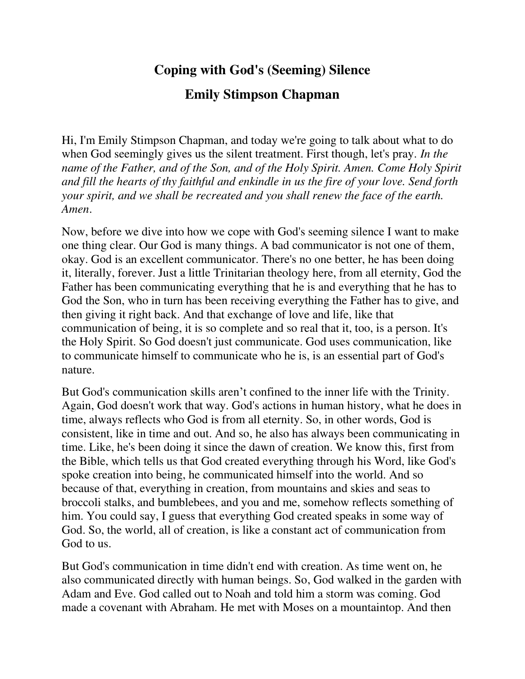## **Coping with God's (Seeming) Silence**

## **Emily Stimpson Chapman**

Hi, I'm Emily Stimpson Chapman, and today we're going to talk about what to do when God seemingly gives us the silent treatment. First though, let's pray. *In the name of the Father, and of the Son, and of the Holy Spirit. Amen. Come Holy Spirit and fill the hearts of thy faithful and enkindle in us the fire of your love. Send forth your spirit, and we shall be recreated and you shall renew the face of the earth. Amen*.

Now, before we dive into how we cope with God's seeming silence I want to make one thing clear. Our God is many things. A bad communicator is not one of them, okay. God is an excellent communicator. There's no one better, he has been doing it, literally, forever. Just a little Trinitarian theology here, from all eternity, God the Father has been communicating everything that he is and everything that he has to God the Son, who in turn has been receiving everything the Father has to give, and then giving it right back. And that exchange of love and life, like that communication of being, it is so complete and so real that it, too, is a person. It's the Holy Spirit. So God doesn't just communicate. God uses communication, like to communicate himself to communicate who he is, is an essential part of God's nature.

But God's communication skills aren't confined to the inner life with the Trinity. Again, God doesn't work that way. God's actions in human history, what he does in time, always reflects who God is from all eternity. So, in other words, God is consistent, like in time and out. And so, he also has always been communicating in time. Like, he's been doing it since the dawn of creation. We know this, first from the Bible, which tells us that God created everything through his Word, like God's spoke creation into being, he communicated himself into the world. And so because of that, everything in creation, from mountains and skies and seas to broccoli stalks, and bumblebees, and you and me, somehow reflects something of him. You could say, I guess that everything God created speaks in some way of God. So, the world, all of creation, is like a constant act of communication from God to us.

But God's communication in time didn't end with creation. As time went on, he also communicated directly with human beings. So, God walked in the garden with Adam and Eve. God called out to Noah and told him a storm was coming. God made a covenant with Abraham. He met with Moses on a mountaintop. And then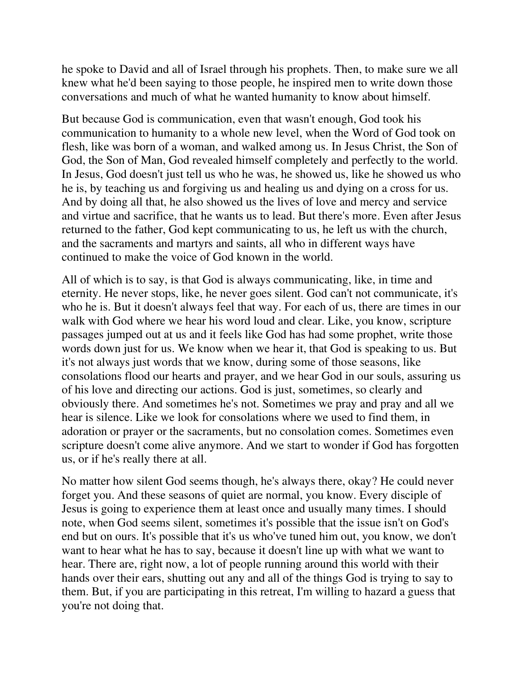he spoke to David and all of Israel through his prophets. Then, to make sure we all knew what he'd been saying to those people, he inspired men to write down those conversations and much of what he wanted humanity to know about himself.

But because God is communication, even that wasn't enough, God took his communication to humanity to a whole new level, when the Word of God took on flesh, like was born of a woman, and walked among us. In Jesus Christ, the Son of God, the Son of Man, God revealed himself completely and perfectly to the world. In Jesus, God doesn't just tell us who he was, he showed us, like he showed us who he is, by teaching us and forgiving us and healing us and dying on a cross for us. And by doing all that, he also showed us the lives of love and mercy and service and virtue and sacrifice, that he wants us to lead. But there's more. Even after Jesus returned to the father, God kept communicating to us, he left us with the church, and the sacraments and martyrs and saints, all who in different ways have continued to make the voice of God known in the world.

All of which is to say, is that God is always communicating, like, in time and eternity. He never stops, like, he never goes silent. God can't not communicate, it's who he is. But it doesn't always feel that way. For each of us, there are times in our walk with God where we hear his word loud and clear. Like, you know, scripture passages jumped out at us and it feels like God has had some prophet, write those words down just for us. We know when we hear it, that God is speaking to us. But it's not always just words that we know, during some of those seasons, like consolations flood our hearts and prayer, and we hear God in our souls, assuring us of his love and directing our actions. God is just, sometimes, so clearly and obviously there. And sometimes he's not. Sometimes we pray and pray and all we hear is silence. Like we look for consolations where we used to find them, in adoration or prayer or the sacraments, but no consolation comes. Sometimes even scripture doesn't come alive anymore. And we start to wonder if God has forgotten us, or if he's really there at all.

No matter how silent God seems though, he's always there, okay? He could never forget you. And these seasons of quiet are normal, you know. Every disciple of Jesus is going to experience them at least once and usually many times. I should note, when God seems silent, sometimes it's possible that the issue isn't on God's end but on ours. It's possible that it's us who've tuned him out, you know, we don't want to hear what he has to say, because it doesn't line up with what we want to hear. There are, right now, a lot of people running around this world with their hands over their ears, shutting out any and all of the things God is trying to say to them. But, if you are participating in this retreat, I'm willing to hazard a guess that you're not doing that.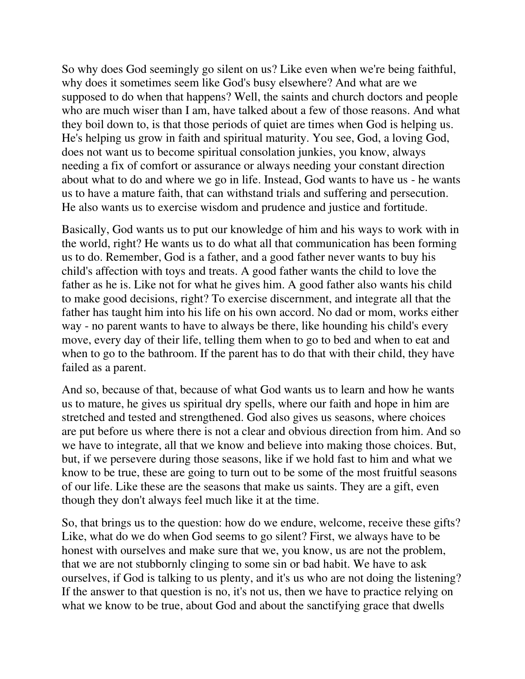So why does God seemingly go silent on us? Like even when we're being faithful, why does it sometimes seem like God's busy elsewhere? And what are we supposed to do when that happens? Well, the saints and church doctors and people who are much wiser than I am, have talked about a few of those reasons. And what they boil down to, is that those periods of quiet are times when God is helping us. He's helping us grow in faith and spiritual maturity. You see, God, a loving God, does not want us to become spiritual consolation junkies, you know, always needing a fix of comfort or assurance or always needing your constant direction about what to do and where we go in life. Instead, God wants to have us - he wants us to have a mature faith, that can withstand trials and suffering and persecution. He also wants us to exercise wisdom and prudence and justice and fortitude.

Basically, God wants us to put our knowledge of him and his ways to work with in the world, right? He wants us to do what all that communication has been forming us to do. Remember, God is a father, and a good father never wants to buy his child's affection with toys and treats. A good father wants the child to love the father as he is. Like not for what he gives him. A good father also wants his child to make good decisions, right? To exercise discernment, and integrate all that the father has taught him into his life on his own accord. No dad or mom, works either way - no parent wants to have to always be there, like hounding his child's every move, every day of their life, telling them when to go to bed and when to eat and when to go to the bathroom. If the parent has to do that with their child, they have failed as a parent.

And so, because of that, because of what God wants us to learn and how he wants us to mature, he gives us spiritual dry spells, where our faith and hope in him are stretched and tested and strengthened. God also gives us seasons, where choices are put before us where there is not a clear and obvious direction from him. And so we have to integrate, all that we know and believe into making those choices. But, but, if we persevere during those seasons, like if we hold fast to him and what we know to be true, these are going to turn out to be some of the most fruitful seasons of our life. Like these are the seasons that make us saints. They are a gift, even though they don't always feel much like it at the time.

So, that brings us to the question: how do we endure, welcome, receive these gifts? Like, what do we do when God seems to go silent? First, we always have to be honest with ourselves and make sure that we, you know, us are not the problem, that we are not stubbornly clinging to some sin or bad habit. We have to ask ourselves, if God is talking to us plenty, and it's us who are not doing the listening? If the answer to that question is no, it's not us, then we have to practice relying on what we know to be true, about God and about the sanctifying grace that dwells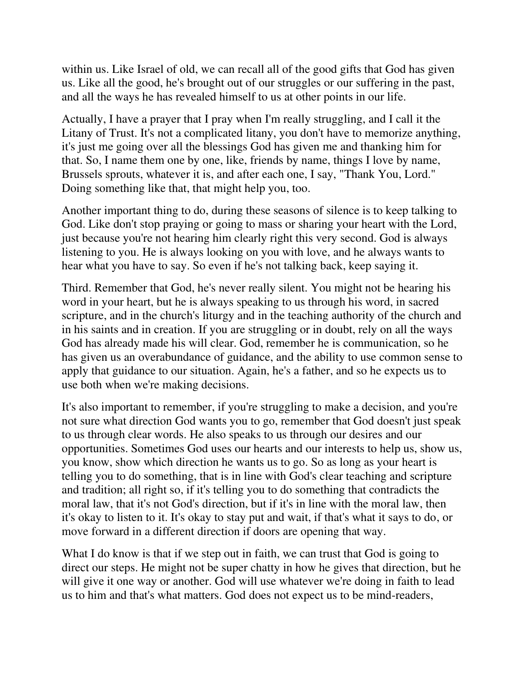within us. Like Israel of old, we can recall all of the good gifts that God has given us. Like all the good, he's brought out of our struggles or our suffering in the past, and all the ways he has revealed himself to us at other points in our life.

Actually, I have a prayer that I pray when I'm really struggling, and I call it the Litany of Trust. It's not a complicated litany, you don't have to memorize anything, it's just me going over all the blessings God has given me and thanking him for that. So, I name them one by one, like, friends by name, things I love by name, Brussels sprouts, whatever it is, and after each one, I say, "Thank You, Lord." Doing something like that, that might help you, too.

Another important thing to do, during these seasons of silence is to keep talking to God. Like don't stop praying or going to mass or sharing your heart with the Lord, just because you're not hearing him clearly right this very second. God is always listening to you. He is always looking on you with love, and he always wants to hear what you have to say. So even if he's not talking back, keep saying it.

Third. Remember that God, he's never really silent. You might not be hearing his word in your heart, but he is always speaking to us through his word, in sacred scripture, and in the church's liturgy and in the teaching authority of the church and in his saints and in creation. If you are struggling or in doubt, rely on all the ways God has already made his will clear. God, remember he is communication, so he has given us an overabundance of guidance, and the ability to use common sense to apply that guidance to our situation. Again, he's a father, and so he expects us to use both when we're making decisions.

It's also important to remember, if you're struggling to make a decision, and you're not sure what direction God wants you to go, remember that God doesn't just speak to us through clear words. He also speaks to us through our desires and our opportunities. Sometimes God uses our hearts and our interests to help us, show us, you know, show which direction he wants us to go. So as long as your heart is telling you to do something, that is in line with God's clear teaching and scripture and tradition; all right so, if it's telling you to do something that contradicts the moral law, that it's not God's direction, but if it's in line with the moral law, then it's okay to listen to it. It's okay to stay put and wait, if that's what it says to do, or move forward in a different direction if doors are opening that way.

What I do know is that if we step out in faith, we can trust that God is going to direct our steps. He might not be super chatty in how he gives that direction, but he will give it one way or another. God will use whatever we're doing in faith to lead us to him and that's what matters. God does not expect us to be mind-readers,